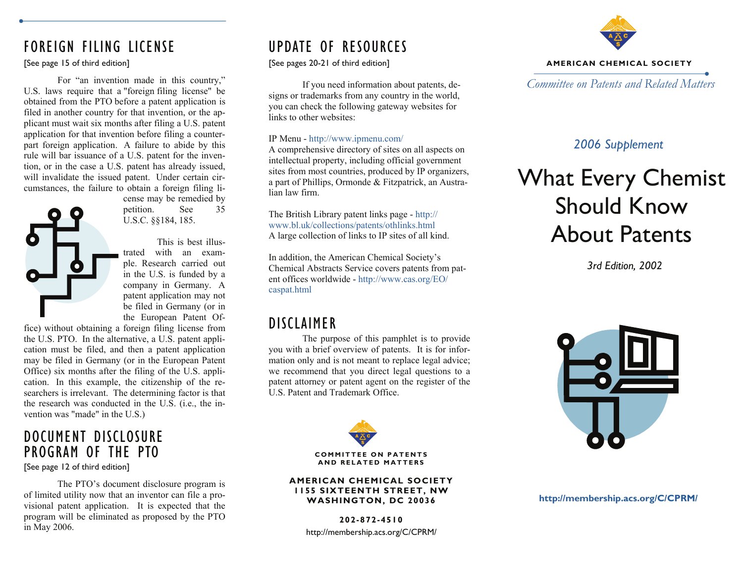# FOREIGN FILING LICENSE

## [See page 15 of third edition]

 For "an invention made in this country," U.S. laws require that a "foreign filing license" be obtained from the PTO before a patent application is filed in another country for that invention, or the applicant must wait six months after filing a U.S. patent application for that invention before filing a counterpart foreign application. A failure to abide by this rule will bar issuance of a U.S. patent for the invention, or in the case a U.S. patent has already issued, will invalidate the issued patent. Under certain circumstances, the failure to obtain a foreign filing li-

cense may be remedied by petition. See 35 U.S.C. §§184, 185.

 This is best illustrated with an example. Research carried out in the U.S. is funded by a company in Germany. A patent application may not be filed in Germany (or in the European Patent Of-

fice) without obtaining a foreign filing license from the U.S. PTO. In the alternative, a U.S. patent application must be filed, and then a patent application may be filed in Germany (or in the European Patent Office) six months after the filing of the U.S. application. In this example, the citizenship of the researchers is irrelevant. The determining factor is that the research was conducted in the U.S. (i.e., the invention was "made" in the U.S.)

# DOCUMENT DISCLOSURE PROGRAM OF THE PTO

[See page 12 of third edition]

 The PTO's document disclosure program is of limited utility now that an inventor can file a provisional patent application. It is expected that the program will be eliminated as proposed by the PTO in May 2006.

# UPDATE OF RESOURCES

[See pages 20-21 of third edition]

 If you need information about patents, designs or trademarks from any country in the world, you can check the following gateway websites for links to other websites:

## IP Menu - http://www.ipmenu.com/

A comprehensive directory of sites on all aspects on intellectual property, including official government sites from most countries, produced by IP organizers, a part of Phillips, Ormonde & Fitzpatrick, an Australian law firm.

The British Library patent links page - http:// www.bl.uk/collections/patents/othlinks.html A large collection of links to IP sites of all kind.

In addition, the American Chemical Society's Chemical Abstracts Service covers patents from patent offices worldwide - http://www.cas.org/EO/ caspat.html

# DISCLAIMER

 The purpose of this pamphlet is to provide you with a brief overview of patents. It is for information only and is not meant to replace legal advice; we recommend that you direct legal questions to a patent attorney or patent agent on the register of the U.S. Patent and Trademark Office.



#### **AMERICAN CHEMICAL SOCIETY 1155 SIXTEENTH STREET, NW WASHINGTON, DC 20036**

**202-872-4510** http://membership.acs.org/C/CPRM/



### **AMERICAN CHEMICAL SOCIETY**

*Committee on Patents and Related Matters* 

## *2006 Supplement*

# What Every Chemist Should Know About Patents

*3rd Edition, 2002* 



**http://membership.acs.org/C/CPRM/**